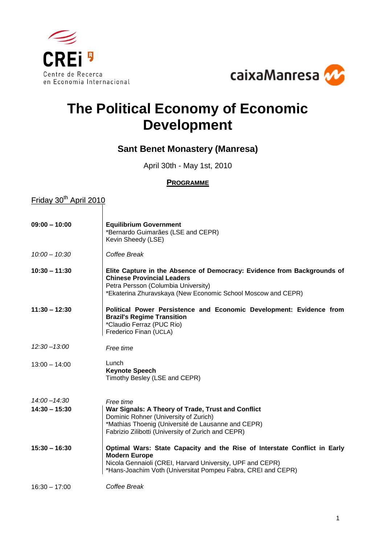



# **The Political Economy of Economic Development**

## **Sant Benet Monastery (Manresa)**

April 30th - May 1st, 2010

#### **PROGRAMME**

### <u>Friday 30<sup>th</sup> April 2010</u>

| $09:00 - 10:00$ | <b>Equilibrium Government</b><br>*Bernardo Guimarães (LSE and CEPR)<br>Kevin Sheedy (LSE)                                                                                                                                      |
|-----------------|--------------------------------------------------------------------------------------------------------------------------------------------------------------------------------------------------------------------------------|
| $10:00 - 10:30$ | Coffee Break                                                                                                                                                                                                                   |
| $10:30 - 11:30$ | Elite Capture in the Absence of Democracy: Evidence from Backgrounds of<br><b>Chinese Provincial Leaders</b><br>Petra Persson (Columbia University)<br>*Ekaterina Zhuravskaya (New Economic School Moscow and CEPR)            |
| $11:30 - 12:30$ | Political Power Persistence and Economic Development: Evidence from<br><b>Brazil's Regime Transition</b><br>*Claudio Ferraz (PUC Rio)<br>Frederico Finan (UCLA)                                                                |
| $12:30 - 13:00$ | Free time                                                                                                                                                                                                                      |
| $13:00 - 14:00$ | Lunch<br><b>Keynote Speech</b><br>Timothy Besley (LSE and CEPR)                                                                                                                                                                |
| $14:00 - 14:30$ | Free time                                                                                                                                                                                                                      |
| $14:30 - 15:30$ | War Signals: A Theory of Trade, Trust and Conflict<br>Dominic Rohner (University of Zurich)<br>*Mathias Thoenig (Université de Lausanne and CEPR)<br>Fabrizio Zilibotti (University of Zurich and CEPR)                        |
| $15:30 - 16:30$ | Optimal Wars: State Capacity and the Rise of Interstate Conflict in Early<br><b>Modern Europe</b><br>Nicola Gennaioli (CREI, Harvard University, UPF and CEPR)<br>*Hans-Joachim Voth (Universitat Pompeu Fabra, CREI and CEPR) |
| $16:30 - 17:00$ | Coffee Break                                                                                                                                                                                                                   |